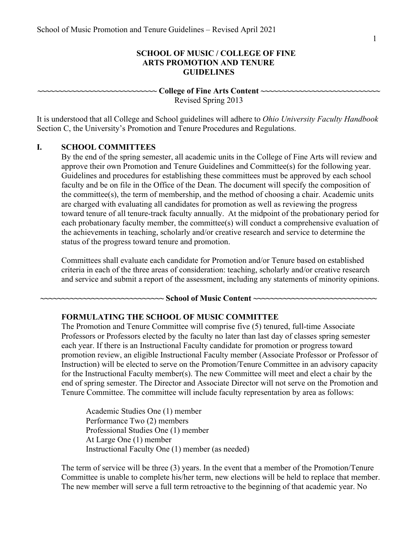### **SCHOOL OF MUSIC / COLLEGE OF FINE ARTS PROMOTION AND TENURE GUIDELINES**

 **~~~~~~~~~~~~~~~~~~~~~~~~~~~~ College of Fine Arts Content ~~~~~~~~~~~~~~~~~~~~~~~~~~~~** 

Revised Spring 2013

 It is understood that all College and School guidelines will adhere to *Ohio University Faculty Handbook*  Section C, the University's Promotion and Tenure Procedures and Regulations.

### **I. SCHOOL COMMITTEES**

 toward tenure of all tenure-track faculty annually. At the midpoint of the probationary period for status of the progress toward tenure and promotion. By the end of the spring semester, all academic units in the College of Fine Arts will review and approve their own Promotion and Tenure Guidelines and Committee(s) for the following year. Guidelines and procedures for establishing these committees must be approved by each school faculty and be on file in the Office of the Dean. The document will specify the composition of the committee(s), the term of membership, and the method of choosing a chair. Academic units are charged with evaluating all candidates for promotion as well as reviewing the progress each probationary faculty member, the committee(s) will conduct a comprehensive evaluation of the achievements in teaching, scholarly and/or creative research and service to determine the

 and service and submit a report of the assessment, including any statements of minority opinions. Committees shall evaluate each candidate for Promotion and/or Tenure based on established criteria in each of the three areas of consideration: teaching, scholarly and/or creative research

#### **~~~~~~~~~~~~~~~~~~~~~~~~~~~~~ School of Music Content ~~~~~~~~~~~~~~~~~~~~~~~~~~~~~**

#### **FORMULATING THE SCHOOL OF MUSIC COMMITTEE**

 Tenure Committee. The committee will include faculty representation by area as follows: The Promotion and Tenure Committee will comprise five (5) tenured, full-time Associate Professors or Professors elected by the faculty no later than last day of classes spring semester each year. If there is an Instructional Faculty candidate for promotion or progress toward promotion review, an eligible Instructional Faculty member (Associate Professor or Professor of Instruction) will be elected to serve on the Promotion/Tenure Committee in an advisory capacity for the Instructional Faculty member(s). The new Committee will meet and elect a chair by the end of spring semester. The Director and Associate Director will not serve on the Promotion and

 Performance Two (2) members At Large One (1) member Instructional Faculty One (1) member (as needed) Academic Studies One (1) member Professional Studies One (1) member

 The new member will serve a full term retroactive to the beginning of that academic year. No The term of service will be three (3) years. In the event that a member of the Promotion/Tenure Committee is unable to complete his/her term, new elections will be held to replace that member.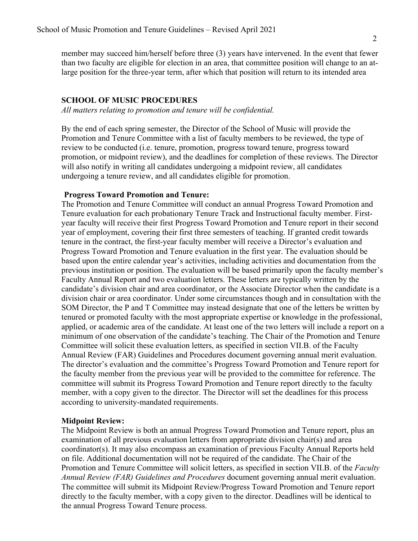member may succeed him/herself before three (3) years have intervened. In the event that fewer than two faculty are eligible for election in an area, that committee position will change to an at-large position for the three-year term, after which that position will return to its intended area

### **SCHOOL OF MUSIC PROCEDURES**

 *All matters relating to promotion and tenure will be confidential.* 

 review to be conducted (i.e. tenure, promotion, progress toward tenure, progress toward undergoing a tenure review, and all candidates eligible for promotion. By the end of each spring semester, the Director of the School of Music will provide the Promotion and Tenure Committee with a list of faculty members to be reviewed, the type of promotion, or midpoint review), and the deadlines for completion of these reviews. The Director will also notify in writing all candidates undergoing a midpoint review, all candidates

#### **Progress Toward Promotion and Tenure:**

 year faculty will receive their first Progress Toward Promotion and Tenure report in their second year of employment, covering their first three semesters of teaching. If granted credit towards Committee will solicit these evaluation letters, as specified in section VII.B. of the Faculty The Promotion and Tenure Committee will conduct an annual Progress Toward Promotion and Tenure evaluation for each probationary Tenure Track and Instructional faculty member. Firsttenure in the contract, the first-year faculty member will receive a Director's evaluation and Progress Toward Promotion and Tenure evaluation in the first year. The evaluation should be based upon the entire calendar year's activities, including activities and documentation from the previous institution or position. The evaluation will be based primarily upon the faculty member's Faculty Annual Report and two evaluation letters. These letters are typically written by the candidate's division chair and area coordinator, or the Associate Director when the candidate is a division chair or area coordinator. Under some circumstances though and in consultation with the SOM Director, the P and T Committee may instead designate that one of the letters be written by tenured or promoted faculty with the most appropriate expertise or knowledge in the professional, applied, or academic area of the candidate. At least one of the two letters will include a report on a minimum of one observation of the candidate's teaching. The Chair of the Promotion and Tenure Annual Review (FAR) Guidelines and Procedures document governing annual merit evaluation. The director's evaluation and the committee's Progress Toward Promotion and Tenure report for the faculty member from the previous year will be provided to the committee for reference. The committee will submit its Progress Toward Promotion and Tenure report directly to the faculty member, with a copy given to the director. The Director will set the deadlines for this process according to university-mandated requirements.

### **Midpoint Review:**

The Midpoint Review is both an annual Progress Toward Promotion and Tenure report, plus an examination of all previous evaluation letters from appropriate division chair(s) and area coordinator(s). It may also encompass an examination of previous Faculty Annual Reports held on file. Additional documentation will not be required of the candidate. The Chair of the Promotion and Tenure Committee will solicit letters, as specified in section VII.B. of the *Faculty Annual Review (FAR) Guidelines and Procedures* document governing annual merit evaluation. The committee will submit its Midpoint Review/Progress Toward Promotion and Tenure report directly to the faculty member, with a copy given to the director. Deadlines will be identical to the annual Progress Toward Tenure process.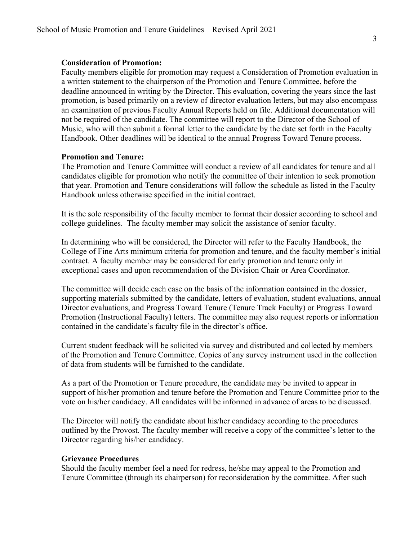#### **Consideration of Promotion:**

 Handbook. Other deadlines will be identical to the annual Progress Toward Tenure process. Faculty members eligible for promotion may request a Consideration of Promotion evaluation in a written statement to the chairperson of the Promotion and Tenure Committee, before the deadline announced in writing by the Director. This evaluation, covering the years since the last promotion, is based primarily on a review of director evaluation letters, but may also encompass an examination of previous Faculty Annual Reports held on file. Additional documentation will not be required of the candidate. The committee will report to the Director of the School of Music, who will then submit a formal letter to the candidate by the date set forth in the Faculty

#### **Promotion and Tenure:**

 The Promotion and Tenure Committee will conduct a review of all candidates for tenure and all candidates eligible for promotion who notify the committee of their intention to seek promotion that year. Promotion and Tenure considerations will follow the schedule as listed in the Faculty Handbook unless otherwise specified in the initial contract.

 It is the sole responsibility of the faculty member to format their dossier according to school and college guidelines. The faculty member may solicit the assistance of senior faculty.

 contract. A faculty member may be considered for early promotion and tenure only in exceptional cases and upon recommendation of the Division Chair or Area Coordinator. In determining who will be considered, the Director will refer to the Faculty Handbook, the College of Fine Arts minimum criteria for promotion and tenure, and the faculty member's initial

 contained in the candidate's faculty file in the director's office. The committee will decide each case on the basis of the information contained in the dossier, supporting materials submitted by the candidate, letters of evaluation, student evaluations, annual Director evaluations, and Progress Toward Tenure (Tenure Track Faculty) or Progress Toward Promotion (Instructional Faculty) letters. The committee may also request reports or information

 of data from students will be furnished to the candidate. Current student feedback will be solicited via survey and distributed and collected by members of the Promotion and Tenure Committee. Copies of any survey instrument used in the collection

 vote on his/her candidacy. All candidates will be informed in advance of areas to be discussed. As a part of the Promotion or Tenure procedure, the candidate may be invited to appear in support of his/her promotion and tenure before the Promotion and Tenure Committee prior to the

 Director regarding his/her candidacy. The Director will notify the candidate about his/her candidacy according to the procedures outlined by the Provost. The faculty member will receive a copy of the committee's letter to the

#### **Grievance Procedures**

 Tenure Committee (through its chairperson) for reconsideration by the committee. After such Should the faculty member feel a need for redress, he/she may appeal to the Promotion and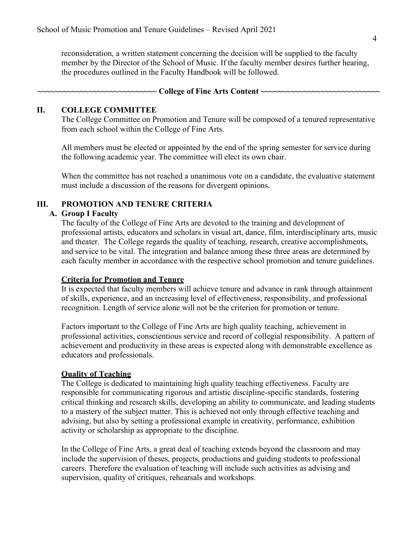member by the Director of the School of Music. If the faculty member desires further hearing, the procedures outlined in the Faculty Handbook will be followed. reconsideration, a written statement concerning the decision will be supplied to the faculty

#### **II. COLLEGE COMMITTEE**

 from each school within the College of Fine Arts. The College Committee on Promotion and Tenure will be composed of a tenured representative

 the following academic year. The committee will elect its own chair. All members must be elected or appointed by the end of the spring semester for service during

 must include a discussion of the reasons for divergent opinions. When the committee has not reached a unanimous vote on a candidate, the evaluative statement

## **III. PROMOTION AND TENURE CRITERIA**

#### **A. Group I Faculty**

 professional artists, educators and scholars in visual art, dance, film, interdisciplinary arts, music each faculty member in accordance with the respective school promotion and tenure guidelines. The faculty of the College of Fine Arts are devoted to the training and development of and theater. The College regards the quality of teaching, research, creative accomplishments, and service to be vital. The integration and balance among these three areas are determined by

### **Criteria for Promotion and Tenure**

 recognition. Length of service alone will not be the criterion for promotion or tenure. It is expected that faculty members will achieve tenure and advance in rank through attainment of skills, experience, and an increasing level of effectiveness, responsibility, and professional

 professional activities, conscientious service and record of collegial responsibility. A pattern of educators and professionals. Factors important to the College of Fine Arts are high quality teaching, achievement in achievement and productivity in these areas is expected along with demonstrable excellence as

### **Ouality of Teaching**

 The College is dedicated to maintaining high quality teaching effectiveness. Faculty are activity or scholarship as appropriate to the discipline. responsible for communicating rigorous and artistic discipline-specific standards, fostering critical thinking and research skills, developing an ability to communicate, and leading students to a mastery of the subject matter. This is achieved not only through effective teaching and advising, but also by setting a professional example in creativity, performance, exhibition

 include the supervision of theses, projects, productions and guiding students to professional careers. Therefore the evaluation of teaching will include such activities as advising and supervision, quality of critiques, rehearsals and workshops.In the College of Fine Arts, a great deal of teaching extends beyond the classroom and may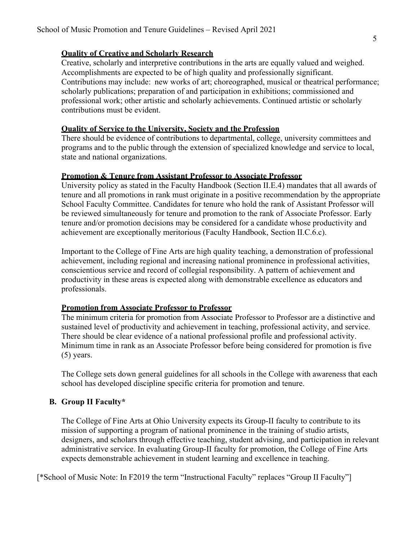### **Quality of Creative and Scholarly Research**

 Accomplishments are expected to be of high quality and professionally significant. Contributions may include: new works of art; choreographed, musical or theatrical performance; contributions must be evident. Creative, scholarly and interpretive contributions in the arts are equally valued and weighed. scholarly publications; preparation of and participation in exhibitions; commissioned and professional work; other artistic and scholarly achievements. Continued artistic or scholarly

#### **Quality of Service to the University, Society and the Profession**

 programs and to the public through the extension of specialized knowledge and service to local, state and national organizations. There should be evidence of contributions to departmental, college, university committees and

#### **Promotion & Tenure from Assistant Professor to Associate Professor**

 be reviewed simultaneously for tenure and promotion to the rank of Associate Professor. Early achievement are exceptionally meritorious (Faculty Handbook, Section II.C.6.c). University policy as stated in the Faculty Handbook (Section II.E.4) mandates that all awards of tenure and all promotions in rank must originate in a positive recommendation by the appropriate School Faculty Committee. Candidates for tenure who hold the rank of Assistant Professor will tenure and/or promotion decisions may be considered for a candidate whose productivity and

 Important to the College of Fine Arts are high quality teaching, a demonstration of professional achievement, including regional and increasing national prominence in professional activities, conscientious service and record of collegial responsibility. A pattern of achievement and productivity in these areas is expected along with demonstrable excellence as educators and professionals.

### **Promotion from Associate Professor to Professor**

 There should be clear evidence of a national professional profile and professional activity. Minimum time in rank as an Associate Professor before being considered for promotion is five (5) years. The minimum criteria for promotion from Associate Professor to Professor are a distinctive and sustained level of productivity and achievement in teaching, professional activity, and service.

 The College sets down general guidelines for all schools in the College with awareness that each school has developed discipline specific criteria for promotion and tenure.

### **B. Group II Faculty\***

 expects demonstrable achievement in student learning and excellence in teaching. The College of Fine Arts at Ohio University expects its Group-II faculty to contribute to its mission of supporting a program of national prominence in the training of studio artists, designers, and scholars through effective teaching, student advising, and participation in relevant administrative service. In evaluating Group-II faculty for promotion, the College of Fine Arts

[\*School of Music Note: In F2019 the term "Instructional Faculty" replaces "Group II Faculty"]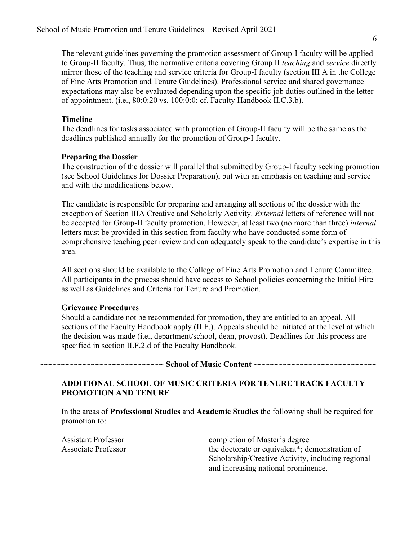The relevant guidelines governing the promotion assessment of Group-I faculty will be applied of appointment. (i.e., 80:0:20 vs. 100:0:0; cf. Faculty Handbook II.C.3.b). to Group-II faculty. Thus, the normative criteria covering Group II *teaching* and *service* directly mirror those of the teaching and service criteria for Group-I faculty (section III A in the College of Fine Arts Promotion and Tenure Guidelines). Professional service and shared governance expectations may also be evaluated depending upon the specific job duties outlined in the letter

## **Timeline**

 deadlines published annually for the promotion of Group-I faculty. The deadlines for tasks associated with promotion of Group-II faculty will be the same as the

## **Preparing the Dossier**

 and with the modifications below. The construction of the dossier will parallel that submitted by Group-I faculty seeking promotion (see School Guidelines for Dossier Preparation), but with an emphasis on teaching and service

The candidate is responsible for preparing and arranging all sections of the dossier with the exception of Section IIIA Creative and Scholarly Activity. *External* letters of reference will not be accepted for Group-II faculty promotion. However, at least two (no more than three) *internal*  letters must be provided in this section from faculty who have conducted some form of comprehensive teaching peer review and can adequately speak to the candidate's expertise in this area.

 All sections should be available to the College of Fine Arts Promotion and Tenure Committee. All participants in the process should have access to School policies concerning the Initial Hire as well as Guidelines and Criteria for Tenure and Promotion.

### **Grievance Procedures**

 specified in section II.F.2.d of the Faculty Handbook. Should a candidate not be recommended for promotion, they are entitled to an appeal. All sections of the Faculty Handbook apply (II.F.). Appeals should be initiated at the level at which the decision was made (i.e., department/school, dean, provost). Deadlines for this process are

### **~~~~~~~~~~~~~~~~~~~~~~~~~~~~~ School of Music Content ~~~~~~~~~~~~~~~~~~~~~~~~~~~~~**

## **ADDITIONAL SCHOOL OF MUSIC CRITERIA FOR TENURE TRACK FACULTY PROMOTION AND TENURE**

 In the areas of **Professional Studies** and **Academic Studies** the following shall be required for promotion to:

**Assistant Professor** Associate Professor

 and increasing national prominence. completion of Master's degree the doctorate or equivalent\*; demonstration of Scholarship/Creative Activity, including regional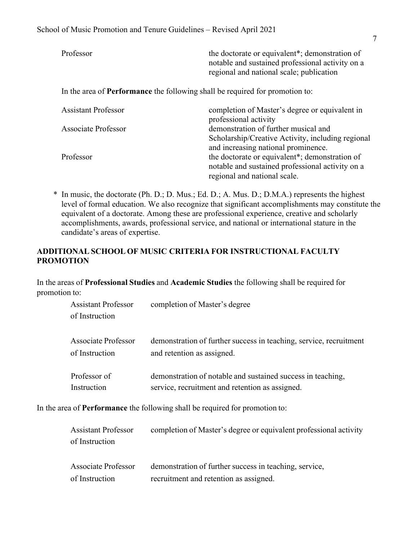| Professor                                                                           | the doctorate or equivalent <sup>*</sup> ; demonstration of<br>notable and sustained professional activity on a<br>regional and national scale; publication |  |
|-------------------------------------------------------------------------------------|-------------------------------------------------------------------------------------------------------------------------------------------------------------|--|
| In the area of <b>Performance</b> the following shall be required for promotion to: |                                                                                                                                                             |  |
| <b>Assistant Professor</b>                                                          | completion of Master's degree or equivalent in<br>professional activity                                                                                     |  |
| Associate Professor                                                                 | demonstration of further musical and<br>Scholarship/Creative Activity, including regional<br>and increasing national prominence.                            |  |
| Professor                                                                           | the doctorate or equivalent*; demonstration of<br>notable and sustained professional activity on a<br>regional and national scale.                          |  |

 candidate's areas of expertise. \* In music, the doctorate (Ph. D.; D. Mus.; Ed. D.; A. Mus. D.; D.M.A.) represents the highest level of formal education. We also recognize that significant accomplishments may constitute the equivalent of a doctorate. Among these are professional experience, creative and scholarly accomplishments, awards, professional service, and national or international stature in the

## **ADDITIONAL SCHOOL OF MUSIC CRITERIA FOR INSTRUCTIONAL FACULTY PROMOTION**

 In the areas of **Professional Studies** and **Academic Studies** the following shall be required for promotion to:

|                                                                              | <b>Assistant Professor</b><br>of Instruction | completion of Master's degree                                                                                  |
|------------------------------------------------------------------------------|----------------------------------------------|----------------------------------------------------------------------------------------------------------------|
|                                                                              | <b>Associate Professor</b><br>of Instruction | demonstration of further success in teaching, service, recruitment<br>and retention as assigned.               |
|                                                                              | Professor of<br>Instruction                  | demonstration of notable and sustained success in teaching,<br>service, recruitment and retention as assigned. |
| In the area of Performance the following shall be required for promotion to: |                                              |                                                                                                                |

| <b>Assistant Professor</b><br>of Instruction | completion of Master's degree or equivalent professional activity |
|----------------------------------------------|-------------------------------------------------------------------|
| Associate Professor                          | demonstration of further success in teaching, service,            |
| of Instruction                               | recruitment and retention as assigned.                            |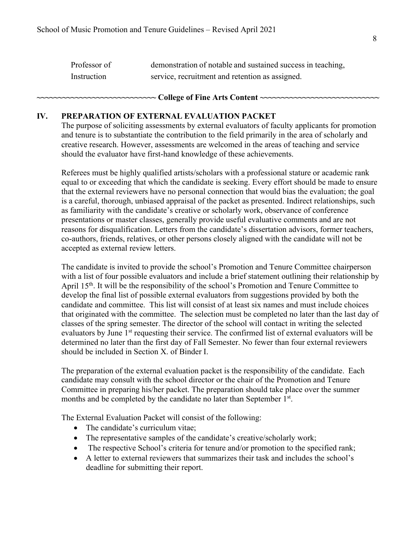| Professor of | demonstration of notable and sustained success in teaching, |
|--------------|-------------------------------------------------------------|
| Instruction  | service, recruitment and retention as assigned.             |

#### **~~~~~~~~~~~~~~~~~~~~~~~~~~~~ College of Fine Arts Content ~~~~~~~~~~~~~~~~~~~~~~~~~~~~**

#### **IV. PREPARATION OF EXTERNAL EVALUATION PACKET**

 should the evaluator have first-hand knowledge of these achievements. The purpose of soliciting assessments by external evaluators of faculty applicants for promotion and tenure is to substantiate the contribution to the field primarily in the area of scholarly and creative research. However, assessments are welcomed in the areas of teaching and service

 presentations or master classes, generally provide useful evaluative comments and are not accepted as external review letters. Referees must be highly qualified artists/scholars with a professional stature or academic rank equal to or exceeding that which the candidate is seeking. Every effort should be made to ensure that the external reviewers have no personal connection that would bias the evaluation; the goal is a careful, thorough, unbiased appraisal of the packet as presented. Indirect relationships, such as familiarity with the candidate's creative or scholarly work, observance of conference reasons for disqualification. Letters from the candidate's dissertation advisors, former teachers, co-authors, friends, relatives, or other persons closely aligned with the candidate will not be

 that originated with the committee. The selection must be completed no later than the last day of should be included in Section X. of Binder I. The candidate is invited to provide the school's Promotion and Tenure Committee chairperson with a list of four possible evaluators and include a brief statement outlining their relationship by April 15<sup>th</sup>. It will be the responsibility of the school's Promotion and Tenure Committee to develop the final list of possible external evaluators from suggestions provided by both the candidate and committee. This list will consist of at least six names and must include choices classes of the spring semester. The director of the school will contact in writing the selected evaluators by June 1<sup>st</sup> requesting their service. The confirmed list of external evaluators will be determined no later than the first day of Fall Semester. No fewer than four external reviewers

 The preparation of the external evaluation packet is the responsibility of the candidate. Each months and be completed by the candidate no later than September 1st. candidate may consult with the school director or the chair of the Promotion and Tenure Committee in preparing his/her packet. The preparation should take place over the summer

The External Evaluation Packet will consist of the following:

- The candidate's curriculum vitae;
- The representative samples of the candidate's creative/scholarly work;
- The respective School's criteria for tenure and/or promotion to the specified rank;
- deadline for submitting their report.• A letter to external reviewers that summarizes their task and includes the school's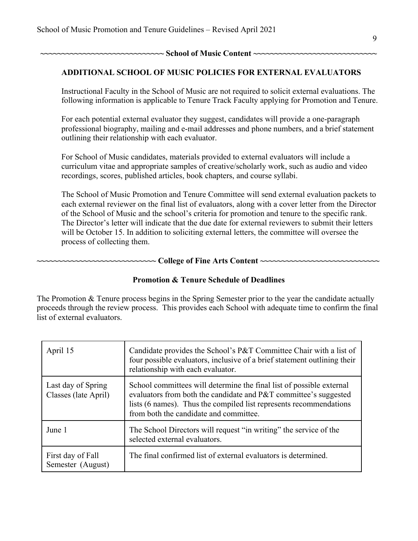**~~~~~~~~~~~~~~~~~~~~~~~~~~~~~ School of Music Content ~~~~~~~~~~~~~~~~~~~~~~~~~~~~~** 

### **ADDITIONAL SCHOOL OF MUSIC POLICIES FOR EXTERNAL EVALUATORS**

 following information is applicable to Tenure Track Faculty applying for Promotion and Tenure. Instructional Faculty in the School of Music are not required to solicit external evaluations. The

 professional biography, mailing and e-mail addresses and phone numbers, and a brief statement outlining their relationship with each evaluator. For each potential external evaluator they suggest, candidates will provide a one-paragraph

 recordings, scores, published articles, book chapters, and course syllabi. For School of Music candidates, materials provided to external evaluators will include a curriculum vitae and appropriate samples of creative/scholarly work, such as audio and video

 The School of Music Promotion and Tenure Committee will send external evaluation packets to each external reviewer on the final list of evaluators, along with a cover letter from the Director of the School of Music and the school's criteria for promotion and tenure to the specific rank. process of collecting them. The Director's letter will indicate that the due date for external reviewers to submit their letters will be October 15. In addition to soliciting external letters, the committee will oversee the

**~~~~~~~~~~~~~~~~~~~~~~~~~~~~ College of Fine Arts Content ~~~~~~~~~~~~~~~~~~~~~~~~~~~~** 

### **Promotion & Tenure Schedule of Deadlines**

 proceeds through the review process. This provides each School with adequate time to confirm the final list of external evaluators. The Promotion & Tenure process begins in the Spring Semester prior to the year the candidate actually

| April 15                                   | Candidate provides the School's P&T Committee Chair with a list of<br>four possible evaluators, inclusive of a brief statement outlining their<br>relationship with each evaluator.                                                                      |
|--------------------------------------------|----------------------------------------------------------------------------------------------------------------------------------------------------------------------------------------------------------------------------------------------------------|
| Last day of Spring<br>Classes (late April) | School committees will determine the final list of possible external<br>evaluators from both the candidate and P&T committee's suggested<br>lists (6 names). Thus the compiled list represents recommendations<br>from both the candidate and committee. |
| June 1                                     | The School Directors will request "in writing" the service of the<br>selected external evaluators.                                                                                                                                                       |
| First day of Fall<br>Semester (August)     | The final confirmed list of external evaluators is determined.                                                                                                                                                                                           |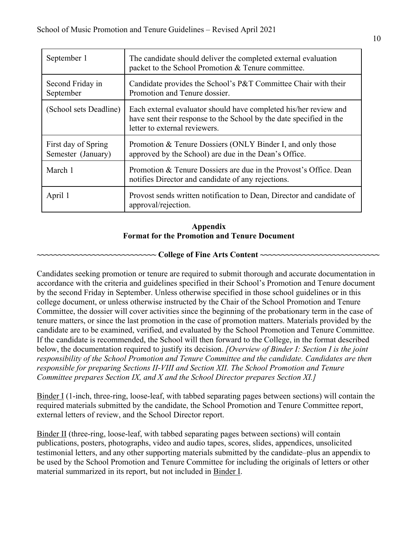| September 1                               | The candidate should deliver the completed external evaluation<br>packet to the School Promotion & Tenure committee.                                                     |
|-------------------------------------------|--------------------------------------------------------------------------------------------------------------------------------------------------------------------------|
| Second Friday in<br>September             | Candidate provides the School's P&T Committee Chair with their<br>Promotion and Tenure dossier.                                                                          |
| (School sets Deadline)                    | Each external evaluator should have completed his/her review and<br>have sent their response to the School by the date specified in the<br>letter to external reviewers. |
| First day of Spring<br>Semester (January) | Promotion & Tenure Dossiers (ONLY Binder I, and only those<br>approved by the School) are due in the Dean's Office.                                                      |
| March 1                                   | Promotion & Tenure Dossiers are due in the Provost's Office. Dean<br>notifies Director and candidate of any rejections.                                                  |
| April 1                                   | Provost sends written notification to Dean, Director and candidate of<br>approval/rejection.                                                                             |

## **Format for the Promotion and Tenure Document Appendix**

## **~~~~~~~~~~~~~~~~~~~~~~~~~~~~ College of Fine Arts Content ~~~~~~~~~~~~~~~~~~~~~~~~~~~~**

 Candidates seeking promotion or tenure are required to submit thorough and accurate documentation in responsible for preparing Sections II-VIII and Section XII. The School Promotion and Tenure  *Committee prepares Section IX, and X and the School Director prepares Section XI.]*  accordance with the criteria and guidelines specified in their School's Promotion and Tenure document by the second Friday in September. Unless otherwise specified in those school guidelines or in this college document, or unless otherwise instructed by the Chair of the School Promotion and Tenure Committee, the dossier will cover activities since the beginning of the probationary term in the case of tenure matters, or since the last promotion in the case of promotion matters. Materials provided by the candidate are to be examined, verified, and evaluated by the School Promotion and Tenure Committee. If the candidate is recommended, the School will then forward to the College, in the format described below, the documentation required to justify its decision. *[Overview of Binder I: Section I is the joint responsibility of the School Promotion and Tenure Committee and the candidate. Candidates are then* 

 external letters of review, and the School Director report. Binder I (1-inch, three-ring, loose-leaf, with tabbed separating pages between sections) will contain the required materials submitted by the candidate, the School Promotion and Tenure Committee report,

 testimonial letters, and any other supporting materials submitted by the candidate–plus an appendix to material summarized in its report, but not included in **Binder I**. Binder II (three-ring, loose-leaf, with tabbed separating pages between sections) will contain publications, posters, photographs, video and audio tapes, scores, slides, appendices, unsolicited be used by the School Promotion and Tenure Committee for including the originals of letters or other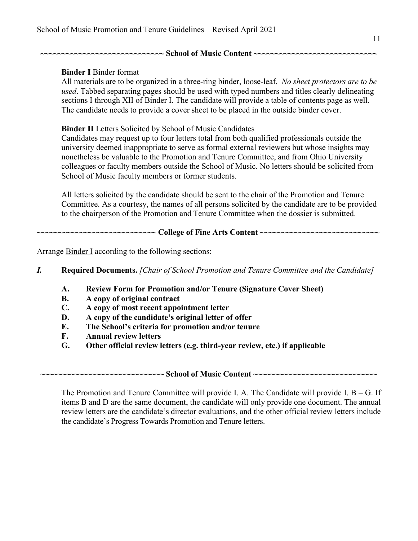## **~~~~~~~~~~~~~~~~~~~~~~~~~~~~~ School of Music Content ~~~~~~~~~~~~~~~~~~~~~~~~~~~~~**

## **Binder I** Binder format

 All materials are to be organized in a three-ring binder, loose-leaf. *No sheet protectors are to be*  sections I through XII of Binder I. The candidate will provide a table of contents page as well. The candidate needs to provide a cover sheet to be placed in the outside binder cover. *used*. Tabbed separating pages should be used with typed numbers and titles clearly delineating

### **Binder II** Letters Solicited by School of Music Candidates

 School of Music faculty members or former students. Candidates may request up to four letters total from both qualified professionals outside the university deemed inappropriate to serve as formal external reviewers but whose insights may nonetheless be valuable to the Promotion and Tenure Committee, and from Ohio University colleagues or faculty members outside the School of Music. No letters should be solicited from

 to the chairperson of the Promotion and Tenure Committee when the dossier is submitted. All letters solicited by the candidate should be sent to the chair of the Promotion and Tenure Committee. As a courtesy, the names of all persons solicited by the candidate are to be provided

#### **~~~~~~~~~~~~~~~~~~~~~~~~~~~~ College of Fine Arts Content ~~~~~~~~~~~~~~~~~~~~~~~~~~~~**

Arrange **Binder I** according to the following sections:

 *I.* **Required Documents.** *[Chair of School Promotion and Tenure Committee and the Candidate]* 

- **A. Review Form for Promotion and/or Tenure (Signature Cover Sheet)**
- **B. A copy of original contract**
- **C. A copy of most recent appointment letter**
- **D. A copy of the candidate's original letter of offer**
- **E. The School's criteria for promotion and/or tenure**
- **F. Annual review letters**
- **G. Other official review letters (e.g. third-year review, etc.) if applicable**

 **~~~~~~~~~~~~~~~~~~~~~~~~~~~~~ School of Music Content ~~~~~~~~~~~~~~~~~~~~~~~~~~~~~** 

 The Promotion and Tenure Committee will provide I. A. The Candidate will provide I. B – G. If items B and D are the same document, the candidate will only provide one document. The annual review letters are the candidate's director evaluations, and the other official review letters include the candidate's Progress Towards Promotion and Tenure letters.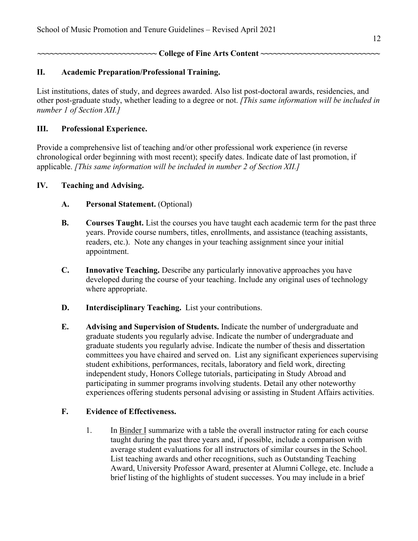**~~~~~~~~~~~~~~~~~~~~~~~~~~~~ College of Fine Arts Content ~~~~~~~~~~~~~~~~~~~~~~~~~~~~** 

## **II. Academic Preparation/Professional Training.**

 *number 1 of Section XII.]*  List institutions, dates of study, and degrees awarded. Also list post-doctoral awards, residencies, and other post-graduate study, whether leading to a degree or not. *[This same information will be included in* 

## **III. Professional Experience.**

 applicable. *[This same information will be included in number 2 of Section XII.]*  Provide a comprehensive list of teaching and/or other professional work experience (in reverse chronological order beginning with most recent); specify dates. Indicate date of last promotion, if

### **IV. Teaching and Advising.**

- **A. Personal Statement.** (Optional)
- readers, etc.). Note any changes in your teaching assignment since your initial **B.** Courses Taught. List the courses you have taught each academic term for the past three years. Provide course numbers, titles, enrollments, and assistance (teaching assistants, appointment.
- **C.** Innovative Teaching. Describe any particularly innovative approaches you have developed during the course of your teaching. Include any original uses of technology where appropriate.
- **D. Interdisciplinary Teaching.** List your contributions.
- committees you have chaired and served on. List any significant experiences supervising student exhibitions, performances, recitals, laboratory and field work, directing independent study, Honors College tutorials, participating in Study Abroad and experiences offering students personal advising or assisting in Student Affairs activities. **E. Advising and Supervision of Students.** Indicate the number of undergraduate and graduate students you regularly advise. Indicate the number of undergraduate and graduate students you regularly advise. Indicate the number of thesis and dissertation participating in summer programs involving students. Detail any other noteworthy

### **F. Evidence of Effectiveness.**

 Award, University Professor Award, presenter at Alumni College, etc. Include a brief listing of the highlights of student successes. You may include in a brief 1. In Binder I summarize with a table the overall instructor rating for each course taught during the past three years and, if possible, include a comparison with average student evaluations for all instructors of similar courses in the School. List teaching awards and other recognitions, such as Outstanding Teaching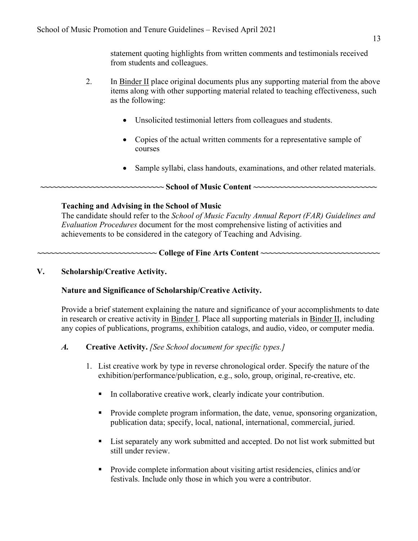from students and colleagues. statement quoting highlights from written comments and testimonials received

- 2. In Binder II place original documents plus any supporting material from the above as the following: items along with other supporting material related to teaching effectiveness, such
	- Unsolicited testimonial letters from colleagues and students.
	- Copies of the actual written comments for a representative sample of courses
	- Sample syllabi, class handouts, examinations, and other related materials.

# **~~~~~~~~~~~~~~~~~~~~~~~~~~~~~ School of Music Content ~~~~~~~~~~~~~~~~~~~~~~~~~~~~~**

## **Teaching and Advising in the School of Music**

 The candidate should refer to the *School of Music Faculty Annual Report (FAR) Guidelines and*  achievements to be considered in the category of Teaching and Advising. *Evaluation Procedures* document for the most comprehensive listing of activities and

## **~~~~~~~~~~~~~~~~~~~~~~~~~~~~ College of Fine Arts Content ~~~~~~~~~~~~~~~~~~~~~~~~~~~~**

## **V. Scholarship/Creative Activity.**

## **Nature and Significance of Scholarship/Creative Activity.**

 any copies of publications, programs, exhibition catalogs, and audio, video, or computer media. Provide a brief statement explaining the nature and significance of your accomplishments to date in research or creative activity in Binder I. Place all supporting materials in Binder II, including

## *A.* **Creative Activity.** *[See School document for specific types.]*

- exhibition/performance/publication, e.g., solo, group, original, re-creative, etc. 1. List creative work by type in reverse chronological order. Specify the nature of the
	- In collaborative creative work, clearly indicate your contribution.
	- publication data; specify, local, national, international, commercial, juried. • Provide complete program information, the date, venue, sponsoring organization,
	- still under review. • List separately any work submitted and accepted. Do not list work submitted but
	- Provide complete information about visiting artist residencies, clinics and/or festivals. Include only those in which you were a contributor.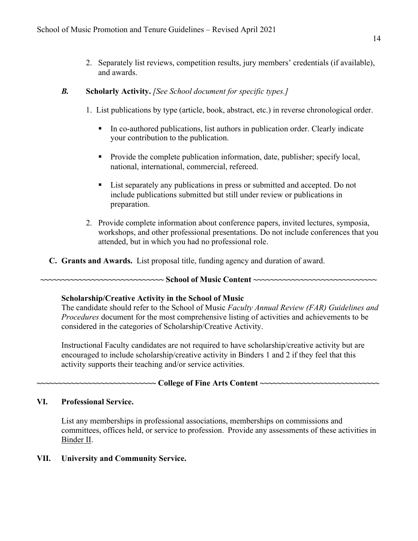and awards. 2. Separately list reviews, competition results, jury members' credentials (if available),

### *B.* **Scholarly Activity.** *[See School document for specific types.]*

- 1. List publications by type (article, book, abstract, etc.) in reverse chronological order.
	- your contribution to the publication. • In co-authored publications, list authors in publication order. Clearly indicate
	- national, international, commercial, refereed. • Provide the complete publication information, date, publisher; specify local,
	- • List separately any publications in press or submitted and accepted. Do not include publications submitted but still under review or publications in preparation.
- attended, but in which you had no professional role. 2. Provide complete information about conference papers, invited lectures, symposia, workshops, and other professional presentations. Do not include conferences that you
- **C. Grants and Awards.** List proposal title, funding agency and duration of award.

#### **~~~~~~~~~~~~~~~~~~~~~~~~~~~~~ School of Music Content ~~~~~~~~~~~~~~~~~~~~~~~~~~~~~**

### **Scholarship/Creative Activity in the School of Music**

 considered in the categories of Scholarship/Creative Activity. The candidate should refer to the School of Music *Faculty Annual Review (FAR) Guidelines and Procedures* document for the most comprehensive listing of activities and achievements to be

 activity supports their teaching and/or service activities. Instructional Faculty candidates are not required to have scholarship/creative activity but are encouraged to include scholarship/creative activity in Binders 1 and 2 if they feel that this

### **~~~~~~~~~~~~~~~~~~~~~~~~~~~~ College of Fine Arts Content ~~~~~~~~~~~~~~~~~~~~~~~~~~~~**

### **VI. Professional Service.**

 committees, offices held, or service to profession. Provide any assessments of these activities in Binder II. List any memberships in professional associations, memberships on commissions and

## **VII. University and Community Service.**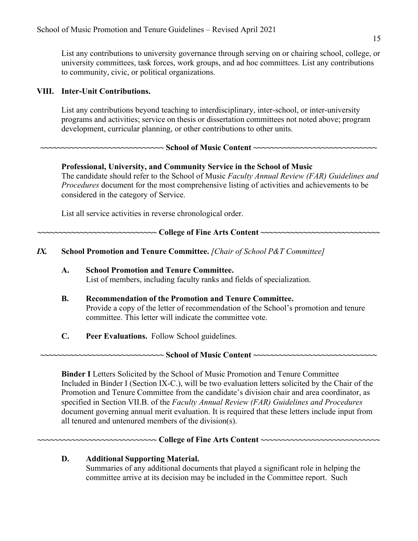to community, civic, or political organizations. List any contributions to university governance through serving on or chairing school, college, or university committees, task forces, work groups, and ad hoc committees. List any contributions

### **VIII. Inter-Unit Contributions.**

 programs and activities; service on thesis or dissertation committees not noted above; program development, curricular planning, or other contributions to other units. List any contributions beyond teaching to interdisciplinary, inter-school, or inter-university

## **~~~~~~~~~~~~~~~~~~~~~~~~~~~~~ School of Music Content ~~~~~~~~~~~~~~~~~~~~~~~~~~~~~**

## **Professional, University, and Community Service in the School of Music**

 considered in the category of Service. The candidate should refer to the School of Music *Faculty Annual Review (FAR) Guidelines and Procedures* document for the most comprehensive listing of activities and achievements to be

List all service activities in reverse chronological order.

 **~~~~~~~~~~~~~~~~~~~~~~~~~~~~ College of Fine Arts Content ~~~~~~~~~~~~~~~~~~~~~~~~~~~~** 

 *IX.* **School Promotion and Tenure Committee.** *[Chair of School P&T Committee]* 

- **A. School Promotion and Tenure Committee.**  List of members, including faculty ranks and fields of specialization.
- **B. Recommendation of the Promotion and Tenure Committee.**  committee. This letter will indicate the committee vote. Provide a copy of the letter of recommendation of the School's promotion and tenure
- **C. Peer Evaluations.** Follow School guidelines.

 **~~~~~~~~~~~~~~~~~~~~~~~~~~~~~ School of Music Content ~~~~~~~~~~~~~~~~~~~~~~~~~~~~~** 

 **Binder I** Letters Solicited by the School of Music Promotion and Tenure Committee all tenured and untenured members of the division(s). Included in Binder I (Section IX-C.), will be two evaluation letters solicited by the Chair of the Promotion and Tenure Committee from the candidate's division chair and area coordinator, as specified in Section VII.B. of the *Faculty Annual Review (FAR) Guidelines and Procedures*  document governing annual merit evaluation. It is required that these letters include input from

#### **~~~~~~~~~~~~~~~~~~~~~~~~~~~~ College of Fine Arts Content ~~~~~~~~~~~~~~~~~~~~~~~~~~~~**

## **D. Additional Supporting Material.**

 committee arrive at its decision may be included in the Committee report. Such Summaries of any additional documents that played a significant role in helping the